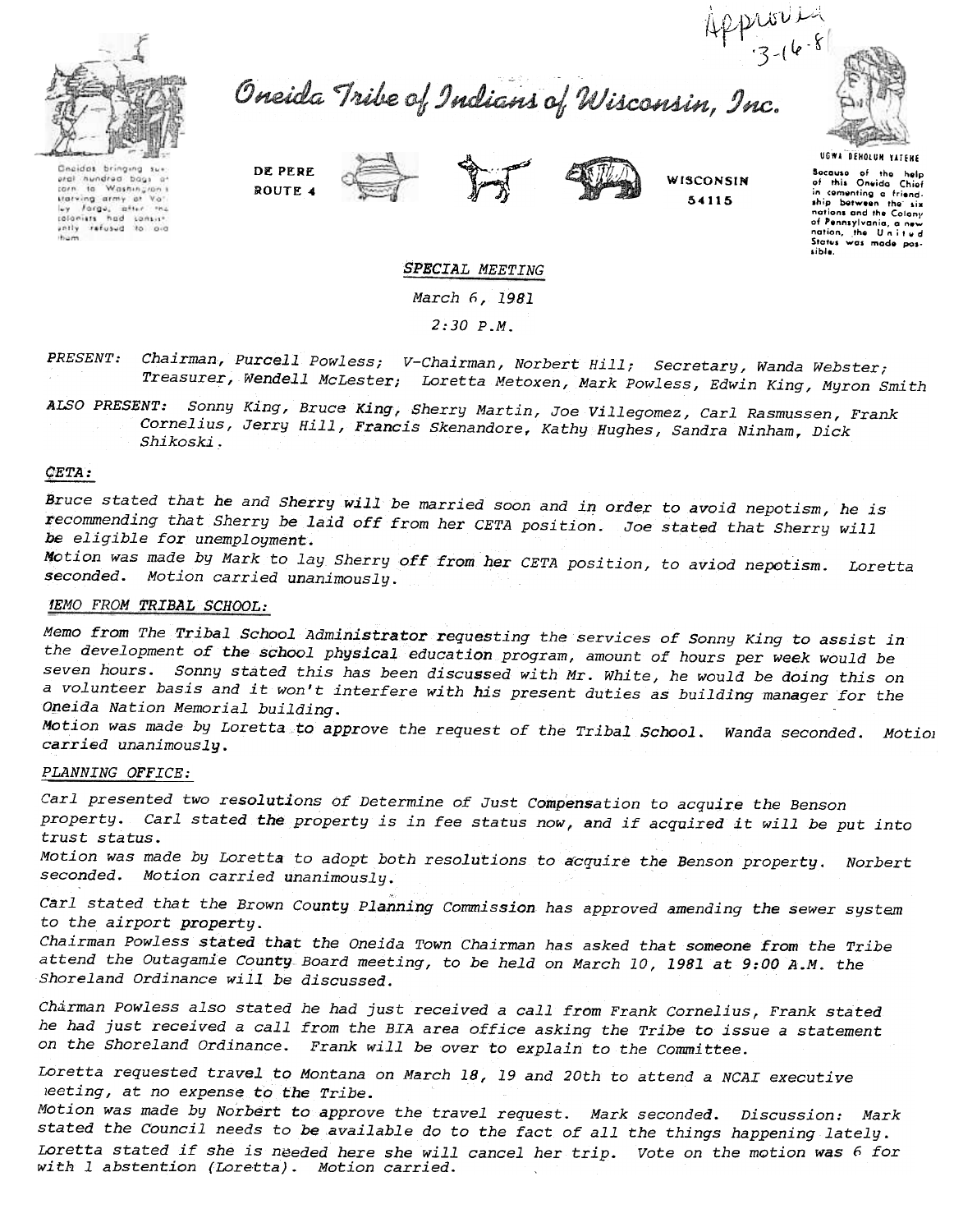



Oneida Tribe of Indians of Wisconsin, Inc.



Geeldes bringing sur eral hundred bags ar<br>corn to Washingron's statving army at Vot ley farge, after the







WISCONSIN 54115

UGWA DEHOLUN YATEHE Bocauso of the help<br>of this Oneida Chief<br>in comenting a friendship botween the six nations and the Colony of Pennsylvania, a new<br>nation, the United<br>Status was mode pos-<br>sible.

SPECIAL MEETING

March 6, 1981

2:30 P.M.

PRESENT: Chairman, Purcell Powless; V-Chairman, Norbert Hill; Secretary, Wanda Webste Treasurer, Wendell McLester; Loretta Metoxen, Mark Powless, Edwin King, Muron Smit

ALSO PRESENT: Sonny King, Bruce King, Sherry Martin, Joe Villegomez, Carl Rasmussen, Frank Cornelius, Jerry Hill, Francis Skenandore, Kathy Hughes, Sandra Ninham, Dick Shikoski,

## $CETA:$

Bruce stated that he and Sherry will be married soon and in order to avoid nepotism, he is recommending that Sherry be laid off from her CETA position.. Joe stated that Sherry will be eligible for unemployment.

Motion was made by Mark to lay Sherry off from her CETA position, to aviod nepotism. Loretta seconded. Motion carried unanimously.

## 1EMO FROM TRIBAL SCHOOL:

Memo from The Tribal School Administrator requesting the services of Sonny King to assist in the development of the school physical education program, amount of hours per week would be seven hours. Sonny stated this has been discussed with Mr. White, he would be doing this on a volunteer basis and it won't interfere with his present duties as building manager for the Oneida Nation Memorial building.

Motion was made by Loretta to approve the request of the Tribal School. Wanda seconded. Motiol carried unanimously.

## PLANNING OFFICE:

Carl presented two resolutions of Determine of Just Compensation to acquire the Benson property. Carl stated the property is in fee status now, and if acquired it will be put into trust status.

Motion was made by Loretta to adopt both resolutions to acquire the Benson property. Norbert seconded. Motion carried unanimously.

Carl stated that the Brown County Planning Commission has approved amending the sewer system to the airport property.

Chairman powless stated that the Oneida Town Chairman has asked that someone from the Tribe attend the Outagamie County Board meeting, to be held on March 10,1981 at 9:00 A.M. the Shoreland Ordinance will be discussed.

Charman Powless also stated he had just received a call from Frank Cornelius, Frank stated he had just received a call from the BIA area office asking the Tribe to issue a statement on the Shoreland Ordinance. Frank will be over to explain to the Committee.

Loretta requested travel to Montana on March 18,19 and 20th to attend a NCAI executive leeting, at no expense to the Tribe.

Motion was made by Norbert to approve the travel request. Mark seconded. Discussion: Mark stated the Council needs to be available do to the fact of all the things happening lately. Loretta stated if she is needed here she will cancel her trip. Vote on the motion was 6 for with 1 abstention (Loretta). Motion carried.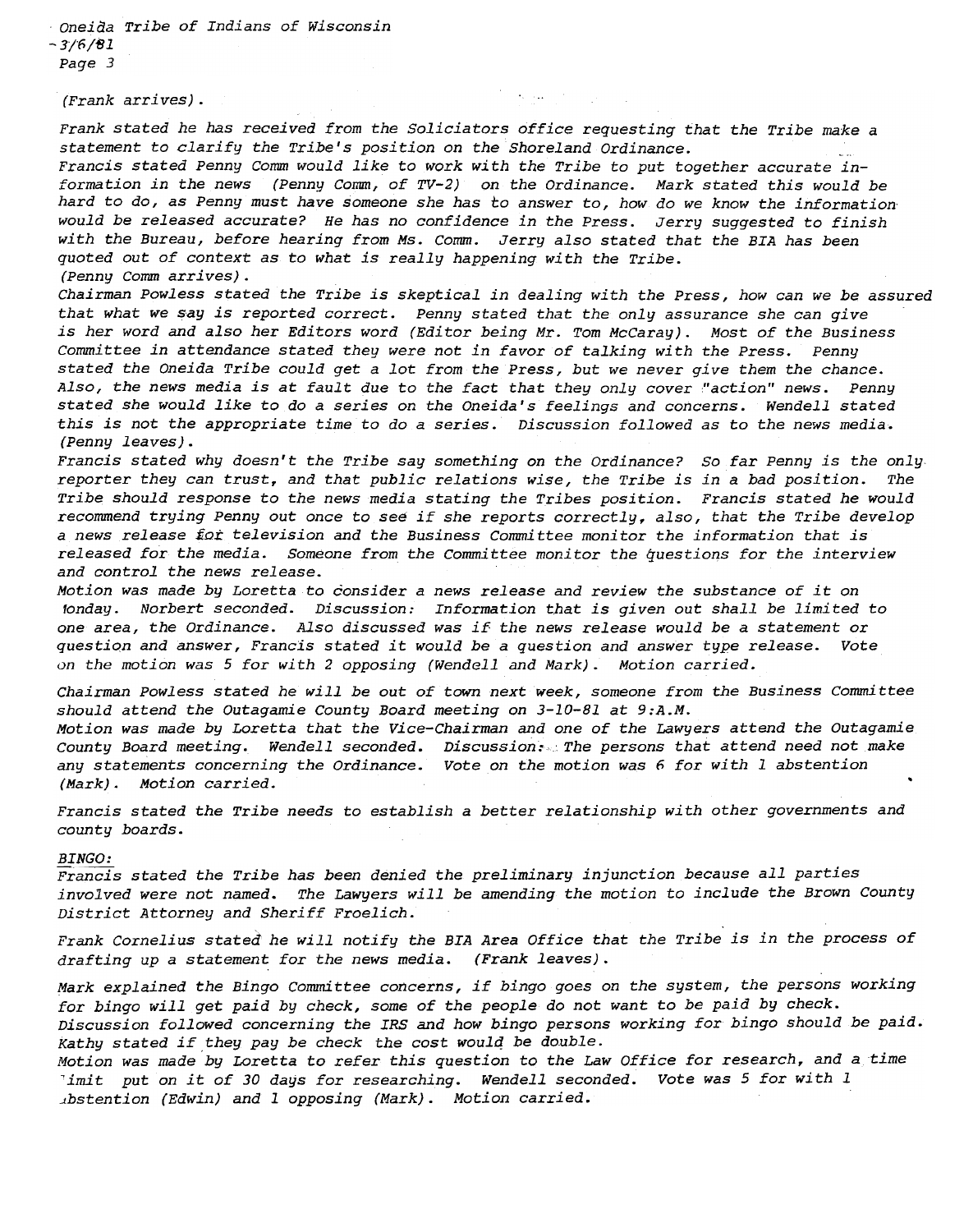Oneida Tribe of Indians of Wisconsin  $-3/6/81$ Page 3

(Frank arrives).

Frank stated he has received from the Soliciators office requesting that the Tribe make a statement to clarify the Tribe's position on the Shoreland Ordinance.

 $\mathcal{E}^{\text{max}}_{\text{max}}$  , where  $\mathcal{E}^{\text{max}}_{\text{max}}$ 

Francis stated Penny Comm would like to work with the Tribe to put together accurate information in the news (Penny Comm, of TV-2) on the Ordinance. Mark stated this would be hard to do, as Penny must have someone she has to answer to, how do we know the informationwould be released accurate? He has no confidence in the Press. Jerry suggested to finish with the Bureau, before hearing from Ms. Comm. Jerry also stated that the BIA has been quoted out of context as to what is really happening with the Tribe. (Penny Comm arrives).

Chairman Powless stated the Tribe is skeptical in dealing with the Press, how can we be assured that what we say is reported correct. Penny stated that the only assurance she can give is her word and also her Editors word (Editor being Mr. Tom McCaray). Most of the Business Committee in attendance stated they were not in favor of talking with the Press. Penny stated the Oneida Tribe could get a lot from the Press, but we never give them the chance. Also, the news media is at fault due to the fact that they only cover "action" news. Penny stated she would like to do a series on the Oneida's feelings and concerns. Wendell stated this is not the appropriate time to do a series. Discussion followed as to the news media.. (Penny leaves).

Francis stated why doesn't the Tribe say something on the Ordinance? So far Penny is the only reporter they can trust, and that public relations wise, the Tribe is in a bad position. The Tribe should response to the news media stating the Tribes position. Francis stated he would recommend trying Penny out once to see if she reports correctly. also, that the Tribe develop a news release for television and the Business Committee monitor the information that is released for the media. Someone from the Committee monitor the questions for the interview and control the news release.

Motion was made by Loretta to consider a news release and review the substance of it on 10nday. Norbert seconded. Discussion: Information that is given out shall be limited to one area, the Ordinance. Also discussed was if the news release would be a statement or questiqn and answer, Francis stated it would be a question and answer type release. Vote on the motion was 5 for with 2 opposing (Wendell and Mark). Motion carried.

Chairman Powless stated he will be out of town next week, someone from the Business Committee should attend the Outagamie County Board meeting on  $3-10-81$  at  $9:A.M.$ Motion was made by Loretta that the Vice-Chairman and one of the Lawyers attend the Outagamie County Board meeting. Wendell seconded. Discussion:, The persons that attend need not make any statements concerning the Ordinance. Vote on the motion was 6 for with 1 abstention (Mark). Motion carried. .

Francis stated the Tribe needs to establish a better relationship with other governments and county boards.

## BINGO:

Francis stated the Tribe has been denied the preliminary injunction because all parties involved were not named. The Lawyers will be amending the motion to include the Brown County District Attorney and Sheriff Froelich.

Frank Cornelius stated he will notify the BIA Area Office that the Tribe is in the process of drafting up a statement for the news media. (Frank leaves).

Mark explained the Bingo Committee concerns, if bingo goes on the system, the persons working for bingo will get paid by check, some of the people do not want to be paid by check. Discussion followed concerning the IRS and how bingo persons working for bingo should be paid. Kathy stated if they pay be check the cost would be double.

Motion was made by Loretta to refer this question to the Law Office for research, and a time 'imit put on it of 30 days for researching. Wendell seconded. Vote was 5 for with 1 .bstention (Edwin) and 1 opposing (Mark). Motion carried.